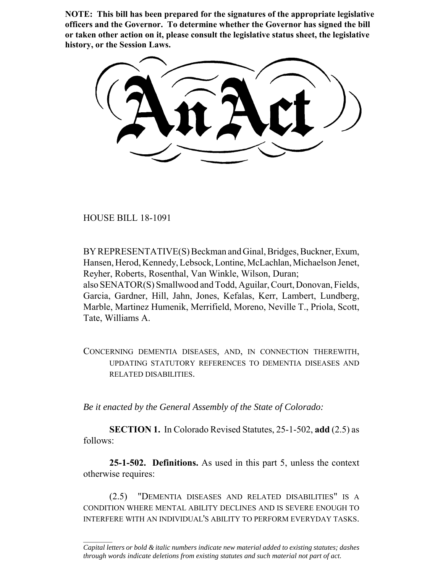**NOTE: This bill has been prepared for the signatures of the appropriate legislative officers and the Governor. To determine whether the Governor has signed the bill or taken other action on it, please consult the legislative status sheet, the legislative history, or the Session Laws.**

HOUSE BILL 18-1091

 $\frac{1}{2}$ 

BY REPRESENTATIVE(S) Beckman and Ginal, Bridges, Buckner, Exum, Hansen, Herod, Kennedy, Lebsock, Lontine, McLachlan, Michaelson Jenet, Reyher, Roberts, Rosenthal, Van Winkle, Wilson, Duran; also SENATOR(S) Smallwood and Todd, Aguilar, Court, Donovan, Fields, Garcia, Gardner, Hill, Jahn, Jones, Kefalas, Kerr, Lambert, Lundberg, Marble, Martinez Humenik, Merrifield, Moreno, Neville T., Priola, Scott, Tate, Williams A.

CONCERNING DEMENTIA DISEASES, AND, IN CONNECTION THEREWITH, UPDATING STATUTORY REFERENCES TO DEMENTIA DISEASES AND RELATED DISABILITIES.

*Be it enacted by the General Assembly of the State of Colorado:*

**SECTION 1.** In Colorado Revised Statutes, 25-1-502, **add** (2.5) as follows:

**25-1-502. Definitions.** As used in this part 5, unless the context otherwise requires:

(2.5) "DEMENTIA DISEASES AND RELATED DISABILITIES" IS A CONDITION WHERE MENTAL ABILITY DECLINES AND IS SEVERE ENOUGH TO INTERFERE WITH AN INDIVIDUAL'S ABILITY TO PERFORM EVERYDAY TASKS.

*Capital letters or bold & italic numbers indicate new material added to existing statutes; dashes through words indicate deletions from existing statutes and such material not part of act.*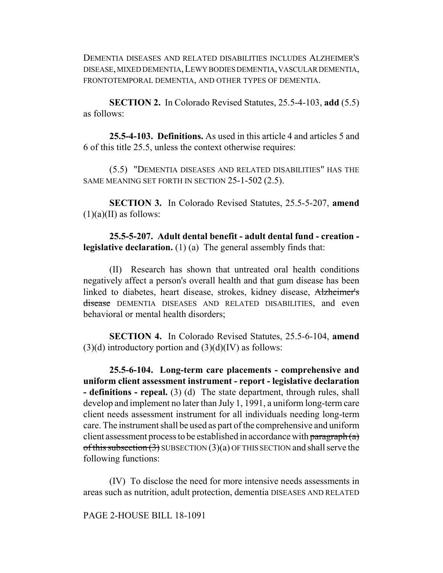DEMENTIA DISEASES AND RELATED DISABILITIES INCLUDES ALZHEIMER'S DISEASE, MIXED DEMENTIA,LEWY BODIES DEMENTIA, VASCULAR DEMENTIA, FRONTOTEMPORAL DEMENTIA, AND OTHER TYPES OF DEMENTIA.

**SECTION 2.** In Colorado Revised Statutes, 25.5-4-103, **add** (5.5) as follows:

**25.5-4-103. Definitions.** As used in this article 4 and articles 5 and 6 of this title 25.5, unless the context otherwise requires:

(5.5) "DEMENTIA DISEASES AND RELATED DISABILITIES" HAS THE SAME MEANING SET FORTH IN SECTION 25-1-502 (2.5).

**SECTION 3.** In Colorado Revised Statutes, 25.5-5-207, **amend**  $(1)(a)(II)$  as follows:

**25.5-5-207. Adult dental benefit - adult dental fund - creation legislative declaration.** (1) (a) The general assembly finds that:

(II) Research has shown that untreated oral health conditions negatively affect a person's overall health and that gum disease has been linked to diabetes, heart disease, strokes, kidney disease, Alzheimer's disease DEMENTIA DISEASES AND RELATED DISABILITIES, and even behavioral or mental health disorders;

**SECTION 4.** In Colorado Revised Statutes, 25.5-6-104, **amend**  $(3)(d)$  introductory portion and  $(3)(d)(IV)$  as follows:

**25.5-6-104. Long-term care placements - comprehensive and uniform client assessment instrument - report - legislative declaration - definitions - repeal.** (3) (d) The state department, through rules, shall develop and implement no later than July 1, 1991, a uniform long-term care client needs assessment instrument for all individuals needing long-term care. The instrument shall be used as part of the comprehensive and uniform client assessment process to be established in accordance with  $\frac{\partial^2 f}{\partial x^2}$ of this subsection  $(3)$  SUBSECTION  $(3)(a)$  OF THIS SECTION and shall serve the following functions:

(IV) To disclose the need for more intensive needs assessments in areas such as nutrition, adult protection, dementia DISEASES AND RELATED

PAGE 2-HOUSE BILL 18-1091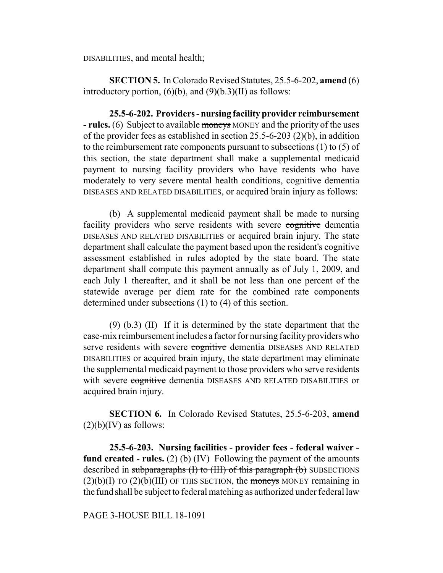DISABILITIES, and mental health;

**SECTION 5.** In Colorado Revised Statutes, 25.5-6-202, **amend** (6) introductory portion,  $(6)(b)$ , and  $(9)(b.3)(II)$  as follows:

**25.5-6-202. Providers - nursing facility provider reimbursement - rules.** (6) Subject to available moneys MONEY and the priority of the uses of the provider fees as established in section 25.5-6-203 (2)(b), in addition to the reimbursement rate components pursuant to subsections (1) to (5) of this section, the state department shall make a supplemental medicaid payment to nursing facility providers who have residents who have moderately to very severe mental health conditions, cognitive dementia DISEASES AND RELATED DISABILITIES, or acquired brain injury as follows:

(b) A supplemental medicaid payment shall be made to nursing facility providers who serve residents with severe cognitive dementia DISEASES AND RELATED DISABILITIES or acquired brain injury. The state department shall calculate the payment based upon the resident's cognitive assessment established in rules adopted by the state board. The state department shall compute this payment annually as of July 1, 2009, and each July 1 thereafter, and it shall be not less than one percent of the statewide average per diem rate for the combined rate components determined under subsections (1) to (4) of this section.

(9) (b.3) (II) If it is determined by the state department that the case-mix reimbursement includes a factor for nursing facility providers who serve residents with severe cognitive dementia DISEASES AND RELATED DISABILITIES or acquired brain injury, the state department may eliminate the supplemental medicaid payment to those providers who serve residents with severe cognitive dementia DISEASES AND RELATED DISABILITIES or acquired brain injury.

**SECTION 6.** In Colorado Revised Statutes, 25.5-6-203, **amend**  $(2)(b)(IV)$  as follows:

**25.5-6-203. Nursing facilities - provider fees - federal waiver fund created - rules.** (2) (b) (IV) Following the payment of the amounts described in subparagraphs (I) to (III) of this paragraph (b) SUBSECTIONS  $(2)(b)(I)$  TO  $(2)(b)(III)$  OF THIS SECTION, the moneys MONEY remaining in the fund shall be subject to federal matching as authorized under federal law

## PAGE 3-HOUSE BILL 18-1091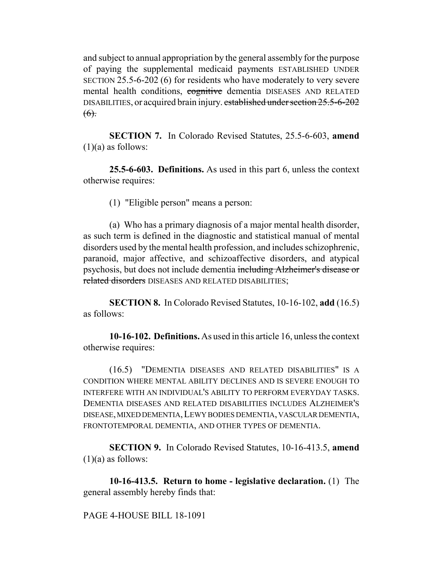and subject to annual appropriation by the general assembly for the purpose of paying the supplemental medicaid payments ESTABLISHED UNDER SECTION 25.5-6-202 (6) for residents who have moderately to very severe mental health conditions, cognitive dementia DISEASES AND RELATED DISABILITIES, or acquired brain injury. established under section 25.5-6-202  $(6)$ .

**SECTION 7.** In Colorado Revised Statutes, 25.5-6-603, **amend**  $(1)(a)$  as follows:

**25.5-6-603. Definitions.** As used in this part 6, unless the context otherwise requires:

(1) "Eligible person" means a person:

(a) Who has a primary diagnosis of a major mental health disorder, as such term is defined in the diagnostic and statistical manual of mental disorders used by the mental health profession, and includes schizophrenic, paranoid, major affective, and schizoaffective disorders, and atypical psychosis, but does not include dementia including Alzheimer's disease or related disorders DISEASES AND RELATED DISABILITIES;

**SECTION 8.** In Colorado Revised Statutes, 10-16-102, **add** (16.5) as follows:

**10-16-102. Definitions.** As used in this article 16, unless the context otherwise requires:

(16.5) "DEMENTIA DISEASES AND RELATED DISABILITIES" IS A CONDITION WHERE MENTAL ABILITY DECLINES AND IS SEVERE ENOUGH TO INTERFERE WITH AN INDIVIDUAL'S ABILITY TO PERFORM EVERYDAY TASKS. DEMENTIA DISEASES AND RELATED DISABILITIES INCLUDES ALZHEIMER'S DISEASE, MIXED DEMENTIA,LEWY BODIES DEMENTIA, VASCULAR DEMENTIA, FRONTOTEMPORAL DEMENTIA, AND OTHER TYPES OF DEMENTIA.

**SECTION 9.** In Colorado Revised Statutes, 10-16-413.5, **amend**  $(1)(a)$  as follows:

**10-16-413.5. Return to home - legislative declaration.** (1) The general assembly hereby finds that:

PAGE 4-HOUSE BILL 18-1091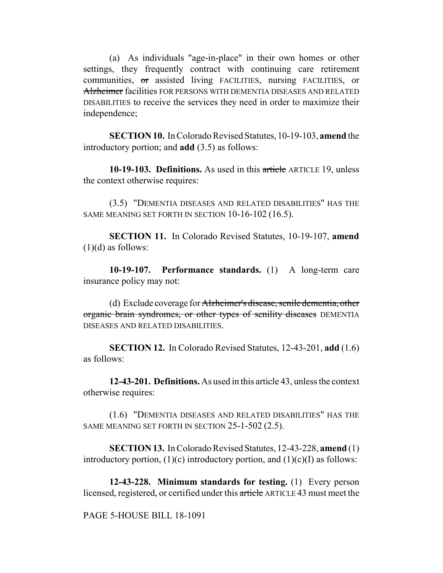(a) As individuals "age-in-place" in their own homes or other settings, they frequently contract with continuing care retirement communities, or assisted living FACILITIES, nursing FACILITIES, or Alzheimer facilities FOR PERSONS WITH DEMENTIA DISEASES AND RELATED DISABILITIES to receive the services they need in order to maximize their independence;

**SECTION 10.** In Colorado Revised Statutes, 10-19-103, **amend** the introductory portion; and **add** (3.5) as follows:

**10-19-103. Definitions.** As used in this article ARTICLE 19, unless the context otherwise requires:

(3.5) "DEMENTIA DISEASES AND RELATED DISABILITIES" HAS THE SAME MEANING SET FORTH IN SECTION 10-16-102 (16.5).

**SECTION 11.** In Colorado Revised Statutes, 10-19-107, **amend**  $(1)(d)$  as follows:

**10-19-107. Performance standards.** (1) A long-term care insurance policy may not:

(d) Exclude coverage for Alzheimer's disease, senile dementia, other organic brain syndromes, or other types of senility diseases DEMENTIA DISEASES AND RELATED DISABILITIES.

**SECTION 12.** In Colorado Revised Statutes, 12-43-201, **add** (1.6) as follows:

**12-43-201. Definitions.** As used in this article 43, unless the context otherwise requires:

(1.6) "DEMENTIA DISEASES AND RELATED DISABILITIES" HAS THE SAME MEANING SET FORTH IN SECTION 25-1-502 (2.5).

**SECTION 13.** In Colorado Revised Statutes, 12-43-228, **amend** (1) introductory portion,  $(1)(c)$  introductory portion, and  $(1)(c)(I)$  as follows:

**12-43-228. Minimum standards for testing.** (1) Every person licensed, registered, or certified under this article ARTICLE 43 must meet the

PAGE 5-HOUSE BILL 18-1091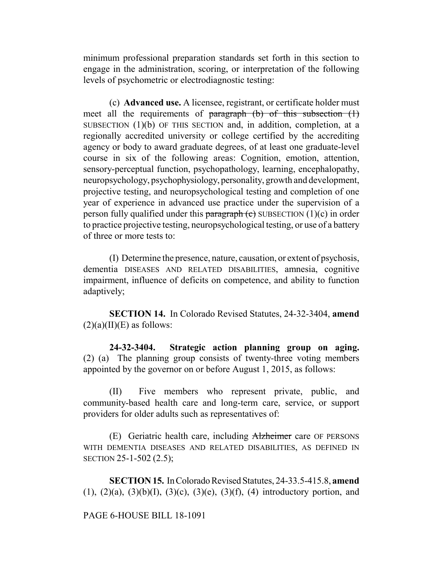minimum professional preparation standards set forth in this section to engage in the administration, scoring, or interpretation of the following levels of psychometric or electrodiagnostic testing:

(c) **Advanced use.** A licensee, registrant, or certificate holder must meet all the requirements of paragraph  $(b)$  of this subsection  $(1)$ SUBSECTION (1)(b) OF THIS SECTION and, in addition, completion, at a regionally accredited university or college certified by the accrediting agency or body to award graduate degrees, of at least one graduate-level course in six of the following areas: Cognition, emotion, attention, sensory-perceptual function, psychopathology, learning, encephalopathy, neuropsychology, psychophysiology, personality, growth and development, projective testing, and neuropsychological testing and completion of one year of experience in advanced use practice under the supervision of a person fully qualified under this paragraph  $(e)$  SUBSECTION  $(1)(c)$  in order to practice projective testing, neuropsychological testing, or use of a battery of three or more tests to:

(I) Determine the presence, nature, causation, or extent of psychosis, dementia DISEASES AND RELATED DISABILITIES, amnesia, cognitive impairment, influence of deficits on competence, and ability to function adaptively;

**SECTION 14.** In Colorado Revised Statutes, 24-32-3404, **amend**  $(2)(a)(II)(E)$  as follows:

**24-32-3404. Strategic action planning group on aging.** (2) (a) The planning group consists of twenty-three voting members appointed by the governor on or before August 1, 2015, as follows:

(II) Five members who represent private, public, and community-based health care and long-term care, service, or support providers for older adults such as representatives of:

(E) Geriatric health care, including Alzheimer care OF PERSONS WITH DEMENTIA DISEASES AND RELATED DISABILITIES, AS DEFINED IN SECTION 25-1-502 (2.5);

**SECTION 15.** In Colorado Revised Statutes, 24-33.5-415.8, **amend** (1), (2)(a), (3)(b)(I), (3)(c), (3)(e), (3)(f), (4) introductory portion, and

## PAGE 6-HOUSE BILL 18-1091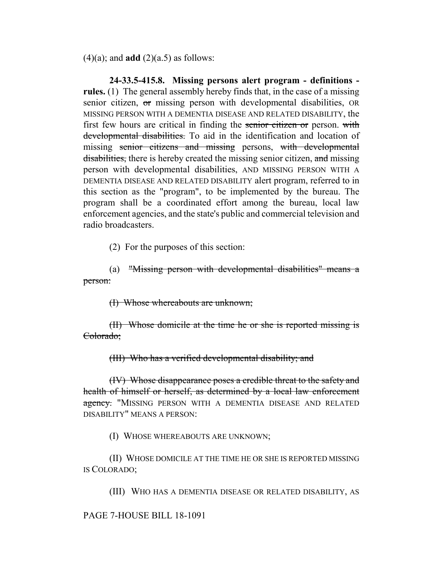$(4)(a)$ ; and **add**  $(2)(a.5)$  as follows:

**24-33.5-415.8. Missing persons alert program - definitions rules.** (1) The general assembly hereby finds that, in the case of a missing senior citizen, or missing person with developmental disabilities, OR MISSING PERSON WITH A DEMENTIA DISEASE AND RELATED DISABILITY, the first few hours are critical in finding the senior citizen or person. with developmental disabilities. To aid in the identification and location of missing senior citizens and missing persons, with developmental disabilities, there is hereby created the missing senior citizen, and missing person with developmental disabilities, AND MISSING PERSON WITH A DEMENTIA DISEASE AND RELATED DISABILITY alert program, referred to in this section as the "program", to be implemented by the bureau. The program shall be a coordinated effort among the bureau, local law enforcement agencies, and the state's public and commercial television and radio broadcasters.

(2) For the purposes of this section:

(a) "Missing person with developmental disabilities" means a person:

(I) Whose whereabouts are unknown;

(II) Whose domicile at the time he or she is reported missing is Colorado;

(III) Who has a verified developmental disability; and

(IV) Whose disappearance poses a credible threat to the safety and health of himself or herself, as determined by a local law enforcement agency. "MISSING PERSON WITH A DEMENTIA DISEASE AND RELATED DISABILITY" MEANS A PERSON:

(I) WHOSE WHEREABOUTS ARE UNKNOWN;

(II) WHOSE DOMICILE AT THE TIME HE OR SHE IS REPORTED MISSING IS COLORADO;

(III) WHO HAS A DEMENTIA DISEASE OR RELATED DISABILITY, AS

PAGE 7-HOUSE BILL 18-1091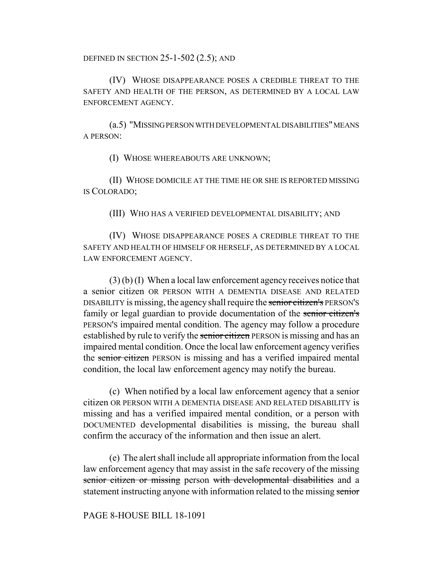DEFINED IN SECTION 25-1-502 (2.5); AND

(IV) WHOSE DISAPPEARANCE POSES A CREDIBLE THREAT TO THE SAFETY AND HEALTH OF THE PERSON, AS DETERMINED BY A LOCAL LAW ENFORCEMENT AGENCY.

(a.5) "MISSING PERSON WITH DEVELOPMENTAL DISABILITIES" MEANS A PERSON:

(I) WHOSE WHEREABOUTS ARE UNKNOWN;

(II) WHOSE DOMICILE AT THE TIME HE OR SHE IS REPORTED MISSING IS COLORADO;

(III) WHO HAS A VERIFIED DEVELOPMENTAL DISABILITY; AND

(IV) WHOSE DISAPPEARANCE POSES A CREDIBLE THREAT TO THE SAFETY AND HEALTH OF HIMSELF OR HERSELF, AS DETERMINED BY A LOCAL LAW ENFORCEMENT AGENCY.

(3) (b) (I) When a local law enforcement agency receives notice that a senior citizen OR PERSON WITH A DEMENTIA DISEASE AND RELATED DISABILITY is missing, the agency shall require the senior citizen's PERSON'S family or legal guardian to provide documentation of the senior citizen's PERSON'S impaired mental condition. The agency may follow a procedure established by rule to verify the senior citizen PERSON is missing and has an impaired mental condition. Once the local law enforcement agency verifies the senior citizen PERSON is missing and has a verified impaired mental condition, the local law enforcement agency may notify the bureau.

(c) When notified by a local law enforcement agency that a senior citizen OR PERSON WITH A DEMENTIA DISEASE AND RELATED DISABILITY is missing and has a verified impaired mental condition, or a person with DOCUMENTED developmental disabilities is missing, the bureau shall confirm the accuracy of the information and then issue an alert.

(e) The alert shall include all appropriate information from the local law enforcement agency that may assist in the safe recovery of the missing senior citizen or missing person with developmental disabilities and a statement instructing anyone with information related to the missing senior

## PAGE 8-HOUSE BILL 18-1091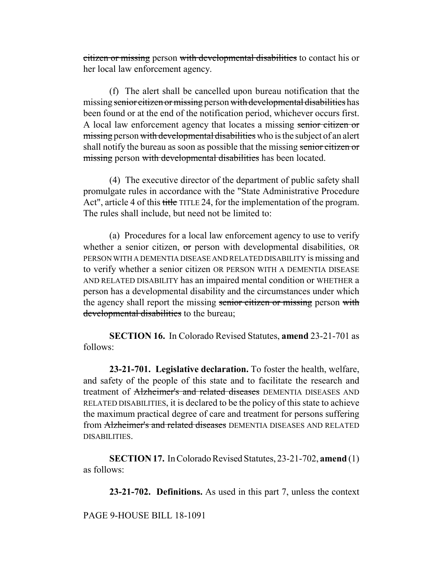citizen or missing person with developmental disabilities to contact his or her local law enforcement agency.

(f) The alert shall be cancelled upon bureau notification that the missing senior citizen or missing person with developmental disabilities has been found or at the end of the notification period, whichever occurs first. A local law enforcement agency that locates a missing senior citizen or missing person with developmental disabilities who is the subject of an alert shall notify the bureau as soon as possible that the missing senior citizen or missing person with developmental disabilities has been located.

(4) The executive director of the department of public safety shall promulgate rules in accordance with the "State Administrative Procedure Act", article 4 of this title TITLE 24, for the implementation of the program. The rules shall include, but need not be limited to:

(a) Procedures for a local law enforcement agency to use to verify whether a senior citizen, or person with developmental disabilities, OR PERSON WITH A DEMENTIA DISEASE AND RELATED DISABILITY is missing and to verify whether a senior citizen OR PERSON WITH A DEMENTIA DISEASE AND RELATED DISABILITY has an impaired mental condition or WHETHER a person has a developmental disability and the circumstances under which the agency shall report the missing senior citizen or missing person with developmental disabilities to the bureau;

**SECTION 16.** In Colorado Revised Statutes, **amend** 23-21-701 as follows:

**23-21-701. Legislative declaration.** To foster the health, welfare, and safety of the people of this state and to facilitate the research and treatment of Alzheimer's and related diseases DEMENTIA DISEASES AND RELATED DISABILITIES, it is declared to be the policy of this state to achieve the maximum practical degree of care and treatment for persons suffering from Alzheimer's and related diseases DEMENTIA DISEASES AND RELATED DISABILITIES.

**SECTION 17.** In Colorado Revised Statutes, 23-21-702, **amend** (1) as follows:

**23-21-702. Definitions.** As used in this part 7, unless the context

PAGE 9-HOUSE BILL 18-1091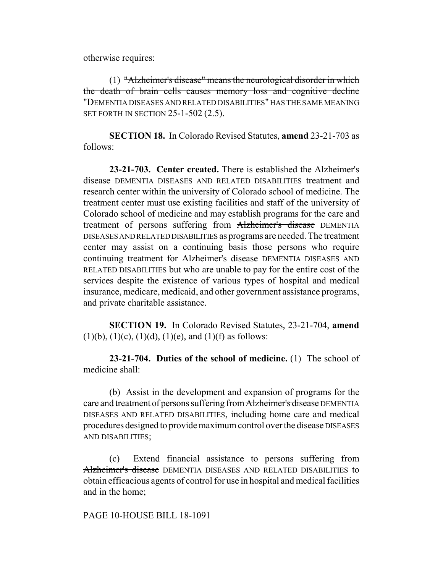otherwise requires:

(1) "Alzheimer's disease" means the neurological disorder in which the death of brain cells causes memory loss and cognitive decline "DEMENTIA DISEASES AND RELATED DISABILITIES" HAS THE SAME MEANING SET FORTH IN SECTION 25-1-502 (2.5).

**SECTION 18.** In Colorado Revised Statutes, **amend** 23-21-703 as follows:

**23-21-703. Center created.** There is established the Alzheimer's disease DEMENTIA DISEASES AND RELATED DISABILITIES treatment and research center within the university of Colorado school of medicine. The treatment center must use existing facilities and staff of the university of Colorado school of medicine and may establish programs for the care and treatment of persons suffering from Alzheimer's disease DEMENTIA DISEASES AND RELATED DISABILITIES as programs are needed. The treatment center may assist on a continuing basis those persons who require continuing treatment for Alzheimer's disease DEMENTIA DISEASES AND RELATED DISABILITIES but who are unable to pay for the entire cost of the services despite the existence of various types of hospital and medical insurance, medicare, medicaid, and other government assistance programs, and private charitable assistance.

**SECTION 19.** In Colorado Revised Statutes, 23-21-704, **amend**  $(1)(b)$ ,  $(1)(c)$ ,  $(1)(d)$ ,  $(1)(e)$ , and  $(1)(f)$  as follows:

**23-21-704. Duties of the school of medicine.** (1) The school of medicine shall:

(b) Assist in the development and expansion of programs for the care and treatment of persons suffering from Alzheimer's disease DEMENTIA DISEASES AND RELATED DISABILITIES, including home care and medical procedures designed to provide maximum control over the disease DISEASES AND DISABILITIES;

(c) Extend financial assistance to persons suffering from Alzheimer's disease DEMENTIA DISEASES AND RELATED DISABILITIES to obtain efficacious agents of control for use in hospital and medical facilities and in the home;

## PAGE 10-HOUSE BILL 18-1091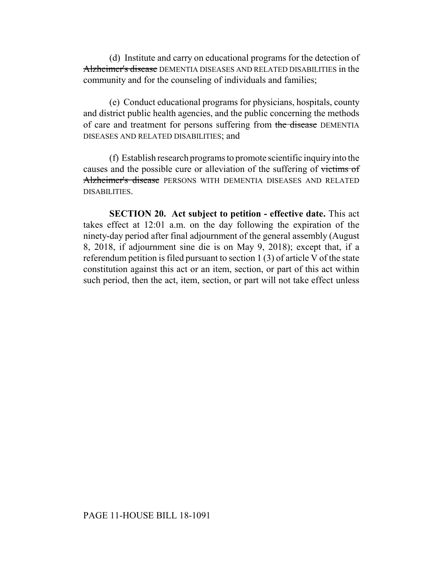(d) Institute and carry on educational programs for the detection of Alzheimer's disease DEMENTIA DISEASES AND RELATED DISABILITIES in the community and for the counseling of individuals and families;

(e) Conduct educational programs for physicians, hospitals, county and district public health agencies, and the public concerning the methods of care and treatment for persons suffering from the disease DEMENTIA DISEASES AND RELATED DISABILITIES; and

(f) Establish research programs to promote scientific inquiry into the causes and the possible cure or alleviation of the suffering of victims of Alzheimer's disease PERSONS WITH DEMENTIA DISEASES AND RELATED DISABILITIES.

**SECTION 20. Act subject to petition - effective date.** This act takes effect at 12:01 a.m. on the day following the expiration of the ninety-day period after final adjournment of the general assembly (August 8, 2018, if adjournment sine die is on May 9, 2018); except that, if a referendum petition is filed pursuant to section 1 (3) of article V of the state constitution against this act or an item, section, or part of this act within such period, then the act, item, section, or part will not take effect unless